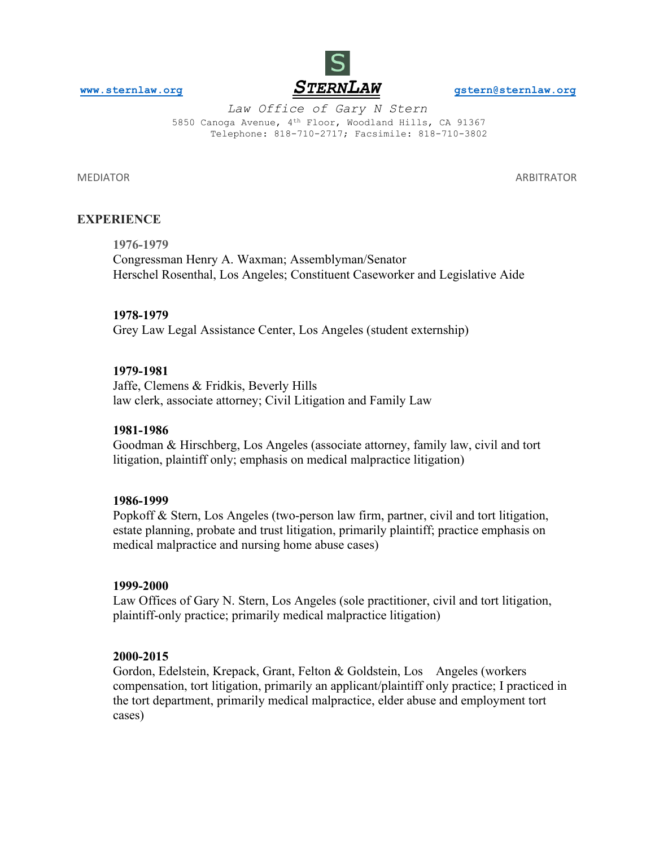

*Law Office of Gary N Stern*  5850 Canoga Avenue, 4th Floor, Woodland Hills, CA 91367 Telephone: 818-710-2717; Facsimile: 818-710-3802

MEDIATOR ARBITRATOR

## **[EXPERIENCE](http://www.sternlaw.org/)**

**1976-1979** Congressman Henry A. Waxman; Assemblyman/Senator Herschel Rosenthal, Los Angeles; Constituent Caseworker and Legislative Aide

### **1978-1979**

Grey Law Legal Assistance Center, Los Angeles (student externship)

### **1979-1981**

Jaffe, Clemens & Fridkis, Beverly Hills law clerk, associate attorney; Civil Litigation and Family Law

#### **1981-1986**

Goodman & Hirschberg, Los Angeles (associate attorney, family law, civil and tort litigation, plaintiff only; emphasis on medical malpractice litigation)

#### **1986-1999**

Popkoff & Stern, Los Angeles (two-person law firm, partner, civil and tort litigation, estate planning, probate and trust litigation, primarily plaintiff; practice emphasis on medical malpractice and nursing home abuse cases)

#### **1999-2000**

Law Offices of Gary N. Stern, Los Angeles (sole practitioner, civil and tort litigation, plaintiff-only practice; primarily medical malpractice litigation)

### **2000-2015**

Gordon, Edelstein, Krepack, Grant, Felton & Goldstein, Los Angeles (workers compensation, tort litigation, primarily an applicant/plaintiff only practice; I practiced in the tort department, primarily medical malpractice, elder abuse and employment tort cases)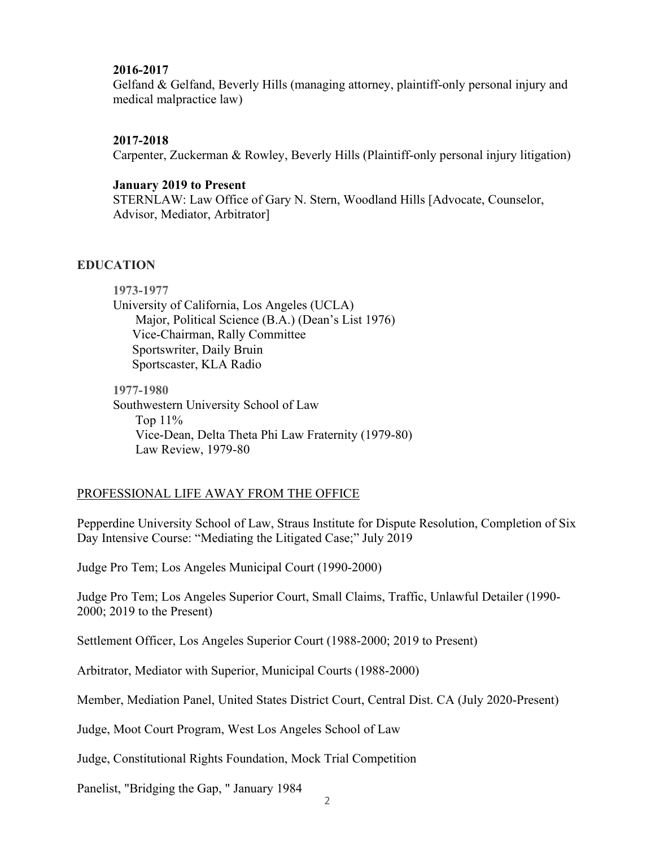# **2016-2017**

Gelfand & Gelfand, Beverly Hills (managing attorney, plaintiff-only personal injury and medical malpractice law)

# **2017-2018**

Carpenter, Zuckerman & Rowley, Beverly Hills (Plaintiff-only personal injury litigation)

# **January 2019 to Present**

STERNLAW: Law Office of Gary N. Stern, Woodland Hills [Advocate, Counselor, Advisor, Mediator, Arbitrator]

# **EDUCATION**

**1973-1977** University of California, Los Angeles (UCLA) Major, Political Science (B.A.) (Dean's List 1976) Vice-Chairman, Rally Committee Sportswriter, Daily Bruin Sportscaster, KLA Radio **1977-1980** Southwestern University School of Law Top 11%

 Vice-Dean, Delta Theta Phi Law Fraternity (1979-80) Law Review, 1979-80

# PROFESSIONAL LIFE AWAY FROM THE OFFICE

Pepperdine University School of Law, Straus Institute for Dispute Resolution, Completion of Six Day Intensive Course: "Mediating the Litigated Case;" July 2019

Judge Pro Tem; Los Angeles Municipal Court (1990-2000)

Judge Pro Tem; Los Angeles Superior Court, Small Claims, Traffic, Unlawful Detailer (1990- 2000; 2019 to the Present)

Settlement Officer, Los Angeles Superior Court (1988-2000; 2019 to Present)

Arbitrator, Mediator with Superior, Municipal Courts (1988-2000)

Member, Mediation Panel, United States District Court, Central Dist. CA (July 2020-Present)

Judge, Moot Court Program, West Los Angeles School of Law

Judge, Constitutional Rights Foundation, Mock Trial Competition

Panelist, "Bridging the Gap, " January 1984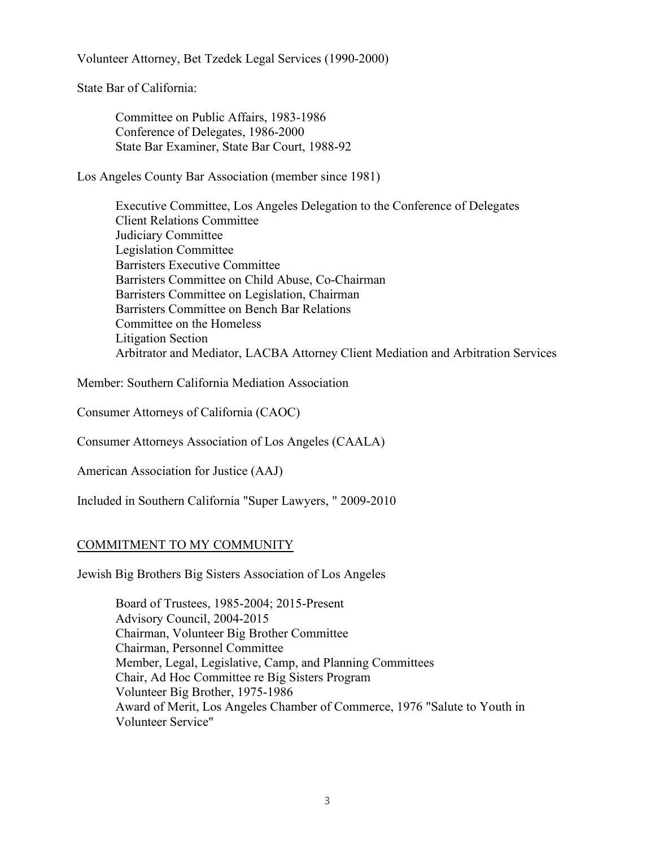Volunteer Attorney, Bet Tzedek Legal Services (1990-2000)

State Bar of California:

Committee on Public Affairs, 1983-1986 Conference of Delegates, 1986-2000 State Bar Examiner, State Bar Court, 1988-92

Los Angeles County Bar Association (member since 1981)

Executive Committee, Los Angeles Delegation to the Conference of Delegates Client Relations Committee Judiciary Committee Legislation Committee Barristers Executive Committee Barristers Committee on Child Abuse, Co-Chairman Barristers Committee on Legislation, Chairman Barristers Committee on Bench Bar Relations Committee on the Homeless Litigation Section Arbitrator and Mediator, LACBA Attorney Client Mediation and Arbitration Services

Member: Southern California Mediation Association

Consumer Attorneys of California (CAOC)

Consumer Attorneys Association of Los Angeles (CAALA)

American Association for Justice (AAJ)

Included in Southern California "Super Lawyers, " 2009-2010

# COMMITMENT TO MY COMMUNITY

Jewish Big Brothers Big Sisters Association of Los Angeles

Board of Trustees, 1985-2004; 2015-Present Advisory Council, 2004-2015 Chairman, Volunteer Big Brother Committee Chairman, Personnel Committee Member, Legal, Legislative, Camp, and Planning Committees Chair, Ad Hoc Committee re Big Sisters Program Volunteer Big Brother, 1975-1986 Award of Merit, Los Angeles Chamber of Commerce, 1976 "Salute to Youth in Volunteer Service"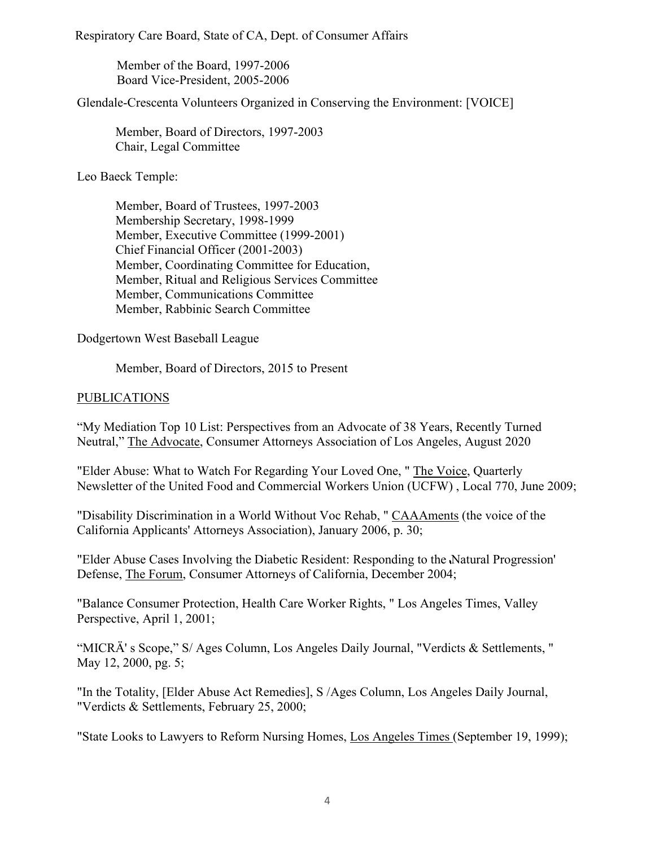Respiratory Care Board, State of CA, Dept. of Consumer Affairs

 Member of the Board, 1997-2006 Board Vice-President, 2005-2006

Glendale-Crescenta Volunteers Organized in Conserving the Environment: [VOICE]

Member, Board of Directors, 1997-2003 Chair, Legal Committee

Leo Baeck Temple:

Member, Board of Trustees, 1997-2003 Membership Secretary, 1998-1999 Member, Executive Committee (1999-2001) Chief Financial Officer (2001-2003) Member, Coordinating Committee for Education, Member, Ritual and Religious Services Committee Member, Communications Committee Member, Rabbinic Search Committee

Dodgertown West Baseball League

Member, Board of Directors, 2015 to Present

# PUBLICATIONS

"My Mediation Top 10 List: Perspectives from an Advocate of 38 Years, Recently Turned Neutral," The Advocate, Consumer Attorneys Association of Los Angeles, August 2020

"Elder Abuse: What to Watch For Regarding Your Loved One, " The Voice, Quarterly Newsletter of the United Food and Commercial Workers Union (UCFW) , Local 770, June 2009;

"Disability Discrimination in a World Without Voc Rehab, " CAAAments (the voice of the California Applicants' Attorneys Association), January 2006, p. 30;

"Elder Abuse Cases Involving the Diabetic Resident: Responding to the Natural Progression' Defense, The Forum, Consumer Attorneys of California, December 2004;

"Balance Consumer Protection, Health Care Worker Rights, " Los Angeles Times, Valley Perspective, April 1, 2001;

"MICRÄ' s Scope," S/ Ages Column, Los Angeles Daily Journal, "Verdicts & Settlements, " May 12, 2000, pg. 5;

"In the Totality, [Elder Abuse Act Remedies], S /Ages Column, Los Angeles Daily Journal, "Verdicts & Settlements, February 25, 2000;

"State Looks to Lawyers to Reform Nursing Homes, Los Angeles Times (September 19, 1999);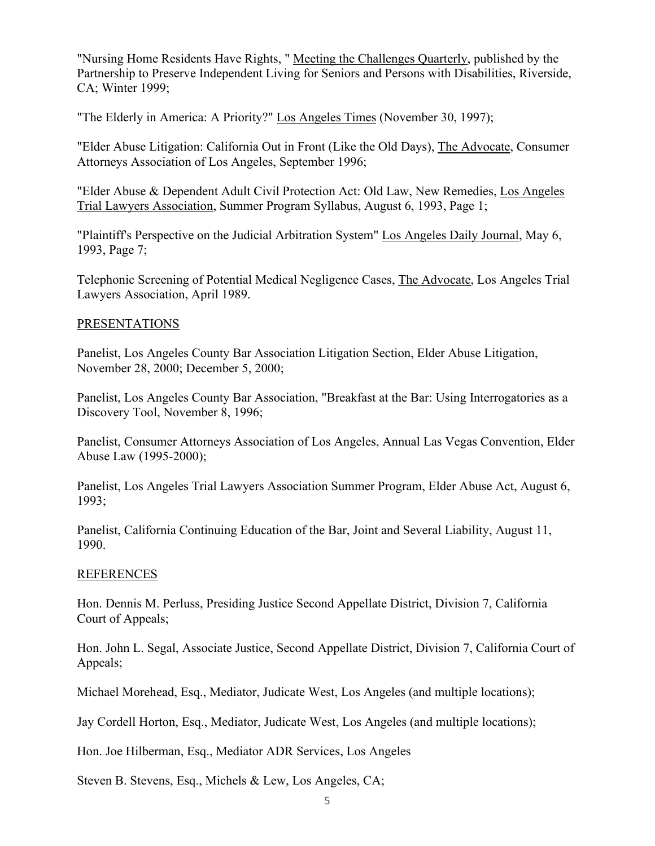"Nursing Home Residents Have Rights, " Meeting the Challenges Quarterly, published by the Partnership to Preserve Independent Living for Seniors and Persons with Disabilities, Riverside, CA; Winter 1999;

"The Elderly in America: A Priority?" Los Angeles Times (November 30, 1997);

"Elder Abuse Litigation: California Out in Front (Like the Old Days), The Advocate, Consumer Attorneys Association of Los Angeles, September 1996;

"Elder Abuse & Dependent Adult Civil Protection Act: Old Law, New Remedies, Los Angeles Trial Lawyers Association, Summer Program Syllabus, August 6, 1993, Page 1;

"Plaintiff's Perspective on the Judicial Arbitration System" Los Angeles Daily Journal, May 6, 1993, Page 7;

Telephonic Screening of Potential Medical Negligence Cases, The Advocate, Los Angeles Trial Lawyers Association, April 1989.

# PRESENTATIONS

Panelist, Los Angeles County Bar Association Litigation Section, Elder Abuse Litigation, November 28, 2000; December 5, 2000;

Panelist, Los Angeles County Bar Association, "Breakfast at the Bar: Using Interrogatories as a Discovery Tool, November 8, 1996;

Panelist, Consumer Attorneys Association of Los Angeles, Annual Las Vegas Convention, Elder Abuse Law (1995-2000);

Panelist, Los Angeles Trial Lawyers Association Summer Program, Elder Abuse Act, August 6, 1993;

Panelist, California Continuing Education of the Bar, Joint and Several Liability, August 11, 1990.

## **REFERENCES**

Hon. Dennis M. Perluss, Presiding Justice Second Appellate District, Division 7, California Court of Appeals;

Hon. John L. Segal, Associate Justice, Second Appellate District, Division 7, California Court of Appeals;

Michael Morehead, Esq., Mediator, Judicate West, Los Angeles (and multiple locations);

Jay Cordell Horton, Esq., Mediator, Judicate West, Los Angeles (and multiple locations);

Hon. Joe Hilberman, Esq., Mediator ADR Services, Los Angeles

Steven B. Stevens, Esq., Michels & Lew, Los Angeles, CA;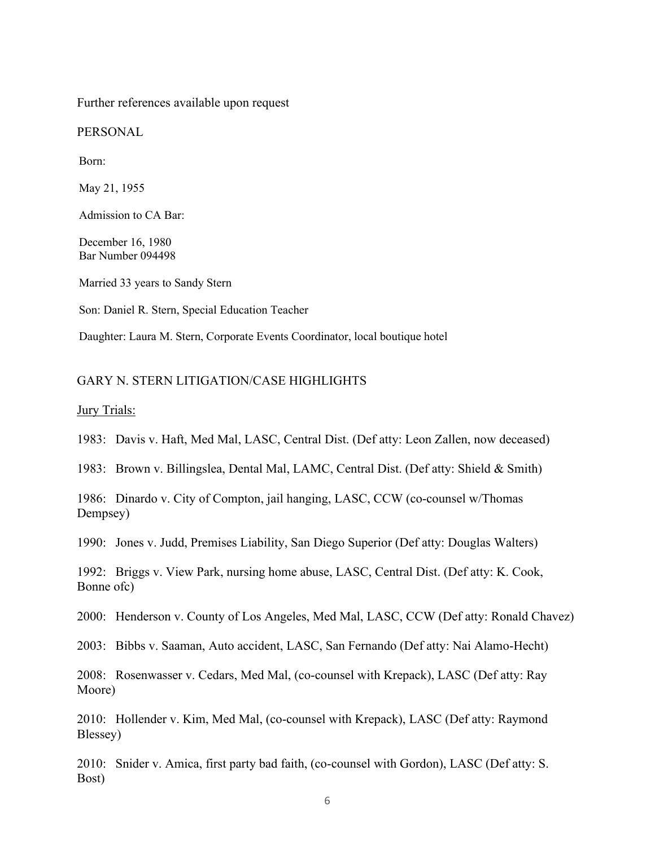Further references available upon request

PERSONAL

Born:

May 21, 1955

Admission to CA Bar:

December 16, 1980 Bar Number 094498

Married 33 years to Sandy Stern

Son: Daniel R. Stern, Special Education Teacher

Daughter: Laura M. Stern, Corporate Events Coordinator, local boutique hotel

#### GARY N. STERN LITIGATION/CASE HIGHLIGHTS

#### **Jury Trials:**

1983: Davis v. Haft, Med Mal, LASC, Central Dist. (Def atty: Leon Zallen, now deceased)

1983: Brown v. Billingslea, Dental Mal, LAMC, Central Dist. (Def atty: Shield & Smith)

1986: Dinardo v. City of Compton, jail hanging, LASC, CCW (co-counsel w/Thomas Dempsey)

1990: Jones v. Judd, Premises Liability, San Diego Superior (Def atty: Douglas Walters)

1992: Briggs v. View Park, nursing home abuse, LASC, Central Dist. (Def atty: K. Cook, Bonne ofc)

2000: Henderson v. County of Los Angeles, Med Mal, LASC, CCW (Def atty: Ronald Chavez)

2003: Bibbs v. Saaman, Auto accident, LASC, San Fernando (Def atty: Nai Alamo-Hecht)

2008: Rosenwasser v. Cedars, Med Mal, (co-counsel with Krepack), LASC (Def atty: Ray Moore)

2010: Hollender v. Kim, Med Mal, (co-counsel with Krepack), LASC (Def atty: Raymond Blessey)

2010: Snider v. Amica, first party bad faith, (co-counsel with Gordon), LASC (Def atty: S. Bost)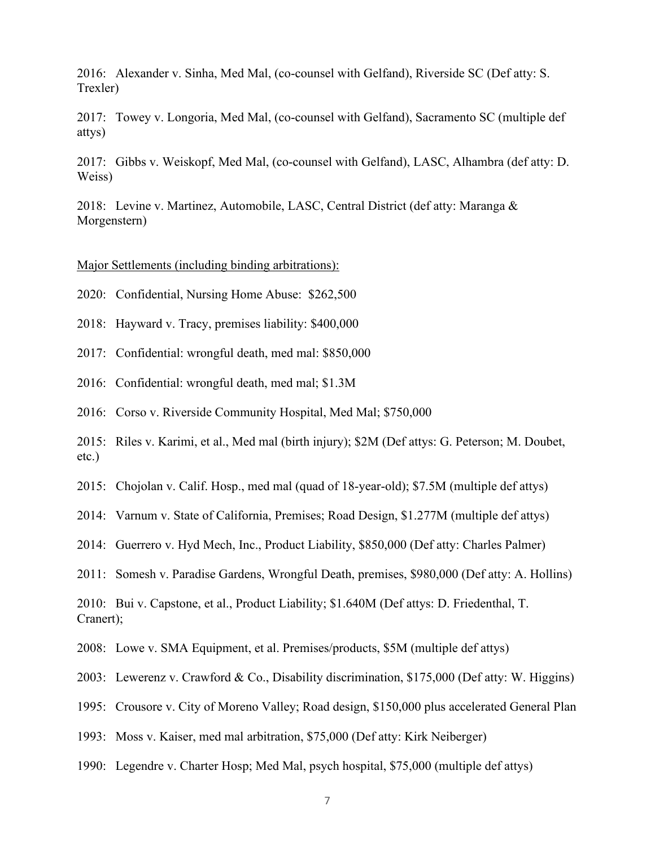2016: Alexander v. Sinha, Med Mal, (co-counsel with Gelfand), Riverside SC (Def atty: S. Trexler)

2017: Towey v. Longoria, Med Mal, (co-counsel with Gelfand), Sacramento SC (multiple def attys)

2017: Gibbs v. Weiskopf, Med Mal, (co-counsel with Gelfand), LASC, Alhambra (def atty: D. Weiss)

2018: Levine v. Martinez, Automobile, LASC, Central District (def atty: Maranga & Morgenstern)

Major Settlements (including binding arbitrations):

2020: Confidential, Nursing Home Abuse: \$262,500

2018: Hayward v. Tracy, premises liability: \$400,000

2017: Confidential: wrongful death, med mal: \$850,000

2016: Confidential: wrongful death, med mal; \$1.3M

2016: Corso v. Riverside Community Hospital, Med Mal; \$750,000

2015: Riles v. Karimi, et al., Med mal (birth injury); \$2M (Def attys: G. Peterson; M. Doubet, etc.)

2015: Chojolan v. Calif. Hosp., med mal (quad of 18-year-old); \$7.5M (multiple def attys)

2014: Varnum v. State of California, Premises; Road Design, \$1.277M (multiple def attys)

2014: Guerrero v. Hyd Mech, Inc., Product Liability, \$850,000 (Def atty: Charles Palmer)

2011: Somesh v. Paradise Gardens, Wrongful Death, premises, \$980,000 (Def atty: A. Hollins)

2010: Bui v. Capstone, et al., Product Liability; \$1.640M (Def attys: D. Friedenthal, T. Cranert);

2008: Lowe v. SMA Equipment, et al. Premises/products, \$5M (multiple def attys)

2003: Lewerenz v. Crawford & Co., Disability discrimination, \$175,000 (Def atty: W. Higgins)

1995: Crousore v. City of Moreno Valley; Road design, \$150,000 plus accelerated General Plan

1993: Moss v. Kaiser, med mal arbitration, \$75,000 (Def atty: Kirk Neiberger)

1990: Legendre v. Charter Hosp; Med Mal, psych hospital, \$75,000 (multiple def attys)